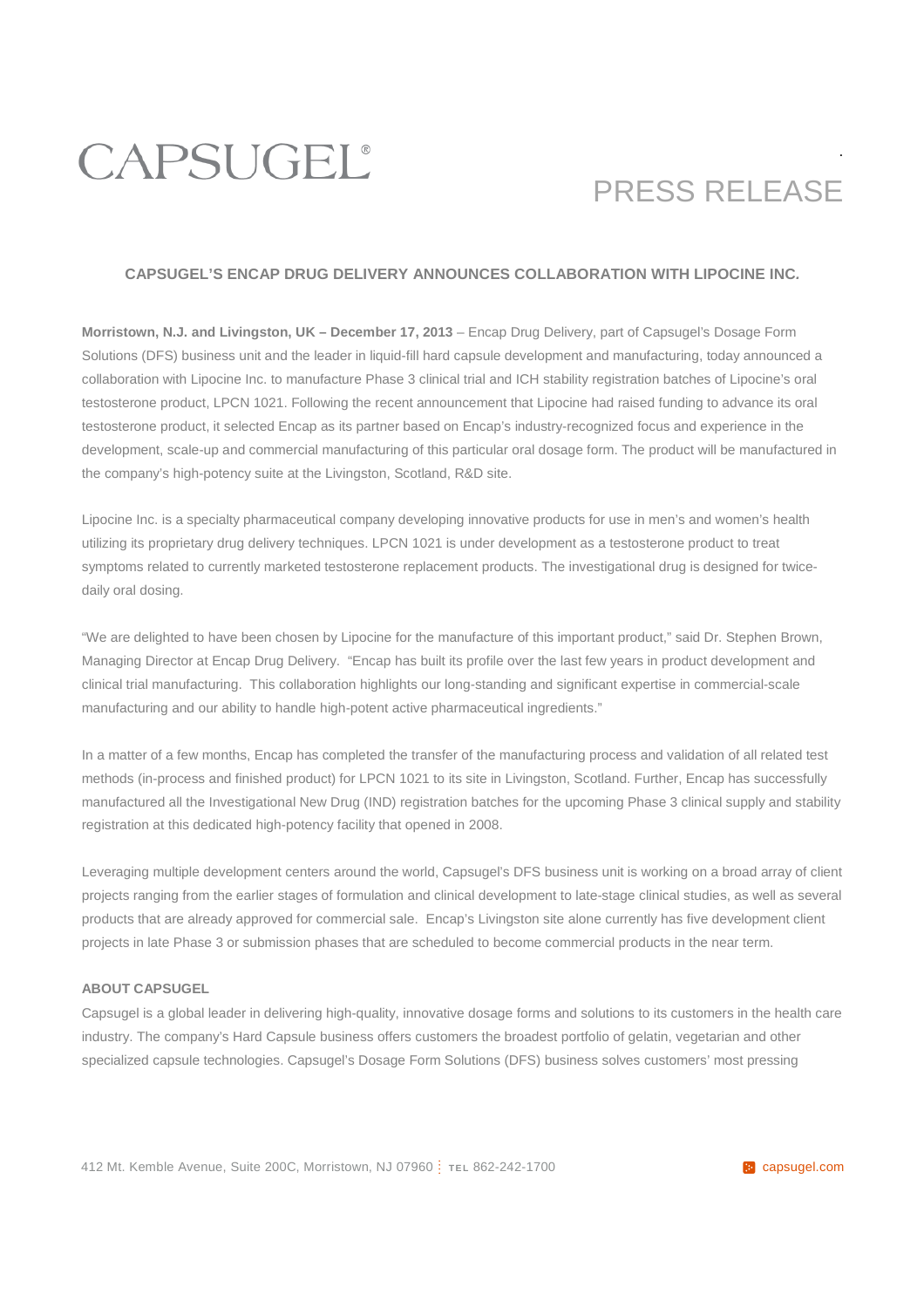## CAPSUGEL®

## PRESS RELEASE

.

## **CAPSUGEL'S ENCAP DRUG DELIVERY ANNOUNCES COLLABORATION WITH LIPOCINE INC***.*

**Morristown, N.J. and Livingston, UK – December 17, 2013** – Encap Drug Delivery, part of Capsugel's Dosage Form Solutions (DFS) business unit and the leader in liquid-fill hard capsule development and manufacturing, today announced a collaboration with Lipocine Inc. to manufacture Phase 3 clinical trial and ICH stability registration batches of Lipocine's oral testosterone product, LPCN 1021. Following the recent announcement that Lipocine had raised funding to advance its oral testosterone product, it selected Encap as its partner based on Encap's industry-recognized focus and experience in the development, scale-up and commercial manufacturing of this particular oral dosage form. The product will be manufactured in the company's high-potency suite at the Livingston, Scotland, R&D site.

Lipocine Inc. is a specialty pharmaceutical company developing innovative products for use in men's and women's health utilizing its proprietary drug delivery techniques. LPCN 1021 is under development as a testosterone product to treat symptoms related to currently marketed testosterone replacement products. The investigational drug is designed for twicedaily oral dosing.

"We are delighted to have been chosen by Lipocine for the manufacture of this important product," said Dr. Stephen Brown, Managing Director at Encap Drug Delivery. "Encap has built its profile over the last few years in product development and clinical trial manufacturing. This collaboration highlights our long-standing and significant expertise in commercial-scale manufacturing and our ability to handle high-potent active pharmaceutical ingredients."

In a matter of a few months, Encap has completed the transfer of the manufacturing process and validation of all related test methods (in-process and finished product) for LPCN 1021 to its site in Livingston, Scotland. Further, Encap has successfully manufactured all the Investigational New Drug (IND) registration batches for the upcoming Phase 3 clinical supply and stability registration at this dedicated high-potency facility that opened in 2008.

Leveraging multiple development centers around the world, Capsugel's DFS business unit is working on a broad array of client projects ranging from the earlier stages of formulation and clinical development to late-stage clinical studies, as well as several products that are already approved for commercial sale. Encap's Livingston site alone currently has five development client projects in late Phase 3 or submission phases that are scheduled to become commercial products in the near term.

## **ABOUT CAPSUGEL**

Capsugel is a global leader in delivering high-quality, innovative dosage forms and solutions to its customers in the health care industry. The company's Hard Capsule business offers customers the broadest portfolio of gelatin, vegetarian and other specialized capsule technologies. Capsugel's Dosage Form Solutions (DFS) business solves customers' most pressing